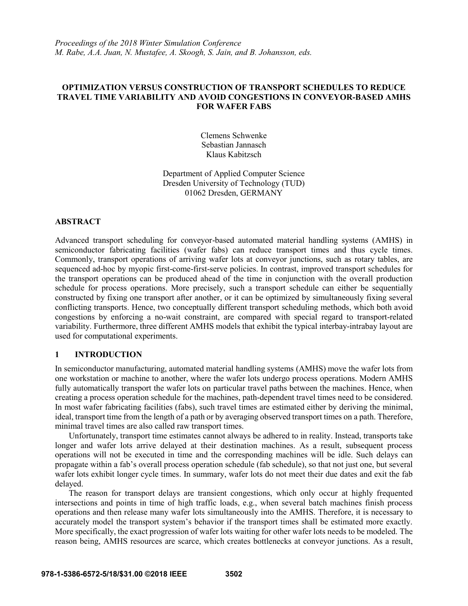*Proceedings of the 2018 Winter Simulation Conference M. Rabe, A.A. Juan, N. Mustafee, A. Skoogh, S. Jain, and B. Johansson, eds.*

## **OPTIMIZATION VERSUS CONSTRUCTION OF TRANSPORT SCHEDULES TO REDUCE TRAVEL TIME VARIABILITY AND AVOID CONGESTIONS IN CONVEYOR-BASED AMHS FOR WAFER FABS**

Clemens Schwenke Sebastian Jannasch Klaus Kabitzsch

Department of Applied Computer Science Dresden University of Technology (TUD) 01062 Dresden, GERMANY

### **ABSTRACT**

Advanced transport scheduling for conveyor-based automated material handling systems (AMHS) in semiconductor fabricating facilities (wafer fabs) can reduce transport times and thus cycle times. Commonly, transport operations of arriving wafer lots at conveyor junctions, such as rotary tables, are sequenced ad-hoc by myopic first-come-first-serve policies. In contrast, improved transport schedules for the transport operations can be produced ahead of the time in conjunction with the overall production schedule for process operations. More precisely, such a transport schedule can either be sequentially constructed by fixing one transport after another, or it can be optimized by simultaneously fixing several conflicting transports. Hence, two conceptually different transport scheduling methods, which both avoid congestions by enforcing a no-wait constraint, are compared with special regard to transport-related variability. Furthermore, three different AMHS models that exhibit the typical interbay-intrabay layout are used for computational experiments.

## **1 INTRODUCTION**

In semiconductor manufacturing, automated material handling systems (AMHS) move the wafer lots from one workstation or machine to another, where the wafer lots undergo process operations. Modern AMHS fully automatically transport the wafer lots on particular travel paths between the machines. Hence, when creating a process operation schedule for the machines, path-dependent travel times need to be considered. In most wafer fabricating facilities (fabs), such travel times are estimated either by deriving the minimal, ideal, transport time from the length of a path or by averaging observed transport times on a path. Therefore, minimal travel times are also called raw transport times.

Unfortunately, transport time estimates cannot always be adhered to in reality. Instead, transports take longer and wafer lots arrive delayed at their destination machines. As a result, subsequent process operations will not be executed in time and the corresponding machines will be idle. Such delays can propagate within a fab's overall process operation schedule (fab schedule), so that not just one, but several wafer lots exhibit longer cycle times. In summary, wafer lots do not meet their due dates and exit the fab delayed.

The reason for transport delays are transient congestions, which only occur at highly frequented intersections and points in time of high traffic loads, e.g., when several batch machines finish process operations and then release many wafer lots simultaneously into the AMHS. Therefore, it is necessary to accurately model the transport system's behavior if the transport times shall be estimated more exactly. More specifically, the exact progression of wafer lots waiting for other wafer lots needs to be modeled. The reason being, AMHS resources are scarce, which creates bottlenecks at conveyor junctions. As a result,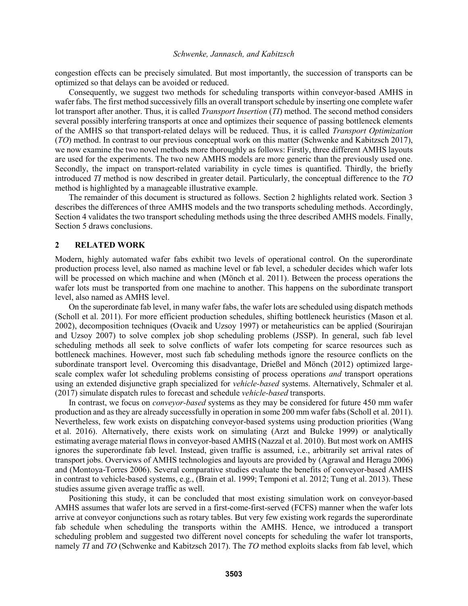congestion effects can be precisely simulated. But most importantly, the succession of transports can be optimized so that delays can be avoided or reduced.

Consequently, we suggest two methods for scheduling transports within conveyor-based AMHS in wafer fabs. The first method successively fills an overall transport schedule by inserting one complete wafer lot transport after another. Thus, it is called *Transport Insertion* (*TI*) method. The second method considers several possibly interfering transports at once and optimizes their sequence of passing bottleneck elements of the AMHS so that transport-related delays will be reduced. Thus, it is called *Transport Optimization* (*TO*) method. In contrast to our previous conceptual work on this matter (Schwenke and Kabitzsch 2017), we now examine the two novel methods more thoroughly as follows: Firstly, three different AMHS layouts are used for the experiments. The two new AMHS models are more generic than the previously used one. Secondly, the impact on transport-related variability in cycle times is quantified. Thirdly, the briefly introduced *TI* method is now described in greater detail. Particularly, the conceptual difference to the *TO*  method is highlighted by a manageable illustrative example.

The remainder of this document is structured as follows. Section 2 highlights related work. Section 3 describes the differences of three AMHS models and the two transports scheduling methods. Accordingly, Section 4 validates the two transport scheduling methods using the three described AMHS models. Finally, Section 5 draws conclusions.

## **2 RELATED WORK**

Modern, highly automated wafer fabs exhibit two levels of operational control. On the superordinate production process level, also named as machine level or fab level, a scheduler decides which wafer lots will be processed on which machine and when (Mönch et al. 2011). Between the process operations the wafer lots must be transported from one machine to another. This happens on the subordinate transport level, also named as AMHS level.

On the superordinate fab level, in many wafer fabs, the wafer lots are scheduled using dispatch methods (Scholl et al. 2011). For more efficient production schedules, shifting bottleneck heuristics (Mason et al. 2002), decomposition techniques (Ovacik and Uzsoy 1997) or metaheuristics can be applied (Sourirajan and Uzsoy 2007) to solve complex job shop scheduling problems (JSSP). In general, such fab level scheduling methods all seek to solve conflicts of wafer lots competing for scarce resources such as bottleneck machines. However, most such fab scheduling methods ignore the resource conflicts on the subordinate transport level. Overcoming this disadvantage, Drießel and Mönch (2012) optimized largescale complex wafer lot scheduling problems consisting of process operations *and* transport operations using an extended disjunctive graph specialized for *vehicle-based* systems. Alternatively, Schmaler et al. (2017) simulate dispatch rules to forecast and schedule *vehicle-based* transports.

In contrast, we focus on *conveyor-based* systems as they may be considered for future 450 mm wafer production and as they are already successfully in operation in some 200 mm wafer fabs (Scholl et al. 2011). Nevertheless, few work exists on dispatching conveyor-based systems using production priorities (Wang et al. 2016). Alternatively, there exists work on simulating (Arzt and Bulcke 1999) or analytically estimating average material flows in conveyor-based AMHS (Nazzal et al. 2010). But most work on AMHS ignores the superordinate fab level. Instead, given traffic is assumed, i.e., arbitrarily set arrival rates of transport jobs. Overviews of AMHS technologies and layouts are provided by (Agrawal and Heragu 2006) and (Montoya-Torres 2006). Several comparative studies evaluate the benefits of conveyor-based AMHS in contrast to vehicle-based systems, e.g., (Brain et al. 1999; Temponi et al. 2012; Tung et al. 2013). These studies assume given average traffic as well.

Positioning this study, it can be concluded that most existing simulation work on conveyor-based AMHS assumes that wafer lots are served in a first-come-first-served (FCFS) manner when the wafer lots arrive at conveyor conjunctions such as rotary tables. But very few existing work regards the superordinate fab schedule when scheduling the transports within the AMHS. Hence, we introduced a transport scheduling problem and suggested two different novel concepts for scheduling the wafer lot transports, namely *TI* and *TO* (Schwenke and Kabitzsch 2017). The *TO* method exploits slacks from fab level, which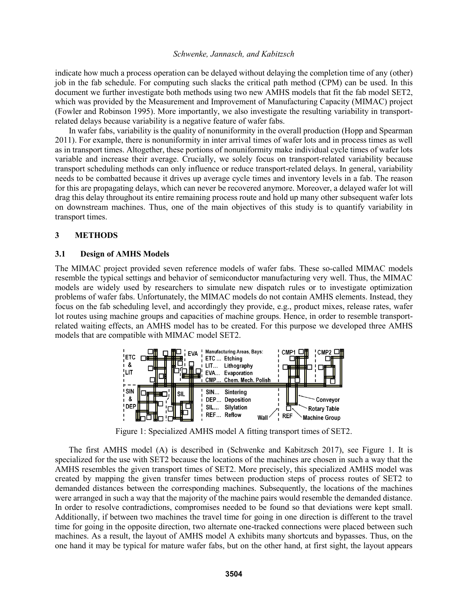indicate how much a process operation can be delayed without delaying the completion time of any (other) job in the fab schedule. For computing such slacks the critical path method (CPM) can be used. In this document we further investigate both methods using two new AMHS models that fit the fab model SET2, which was provided by the Measurement and Improvement of Manufacturing Capacity (MIMAC) project (Fowler and Robinson 1995). More importantly, we also investigate the resulting variability in transportrelated delays because variability is a negative feature of wafer fabs.

In wafer fabs, variability is the quality of nonuniformity in the overall production (Hopp and Spearman 2011). For example, there is nonuniformity in inter arrival times of wafer lots and in process times as well as in transport times. Altogether, these portions of nonuniformity make individual cycle times of wafer lots variable and increase their average. Crucially, we solely focus on transport-related variability because transport scheduling methods can only influence or reduce transport-related delays. In general, variability needs to be combatted because it drives up average cycle times and inventory levels in a fab. The reason for this are propagating delays, which can never be recovered anymore. Moreover, a delayed wafer lot will drag this delay throughout its entire remaining process route and hold up many other subsequent wafer lots on downstream machines. Thus, one of the main objectives of this study is to quantify variability in transport times.

# **3 METHODS**

## **3.1 Design of AMHS Models**

The MIMAC project provided seven reference models of wafer fabs. These so-called MIMAC models resemble the typical settings and behavior of semiconductor manufacturing very well. Thus, the MIMAC models are widely used by researchers to simulate new dispatch rules or to investigate optimization problems of wafer fabs. Unfortunately, the MIMAC models do not contain AMHS elements. Instead, they focus on the fab scheduling level, and accordingly they provide, e.g., product mixes, release rates, wafer lot routes using machine groups and capacities of machine groups. Hence, in order to resemble transportrelated waiting effects, an AMHS model has to be created. For this purpose we developed three AMHS models that are compatible with MIMAC model SET2.



Figure 1: Specialized AMHS model A fitting transport times of SET2.

The first AMHS model (A) is described in (Schwenke and Kabitzsch 2017), see Figure 1. It is specialized for the use with SET2 because the locations of the machines are chosen in such a way that the AMHS resembles the given transport times of SET2. More precisely, this specialized AMHS model was created by mapping the given transfer times between production steps of process routes of SET2 to demanded distances between the corresponding machines. Subsequently, the locations of the machines were arranged in such a way that the majority of the machine pairs would resemble the demanded distance. In order to resolve contradictions, compromises needed to be found so that deviations were kept small. Additionally, if between two machines the travel time for going in one direction is different to the travel time for going in the opposite direction, two alternate one-tracked connections were placed between such machines. As a result, the layout of AMHS model A exhibits many shortcuts and bypasses. Thus, on the one hand it may be typical for mature wafer fabs, but on the other hand, at first sight, the layout appears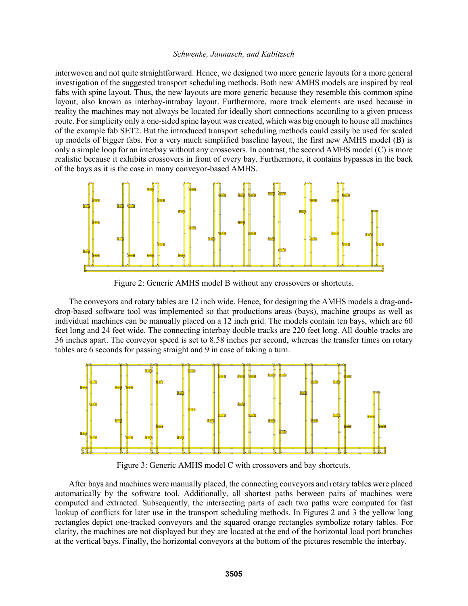interwoven and not quite straightforward. Hence, we designed two more generic layouts for a more general investigation of the suggested transport scheduling methods. Both new AMHS models are inspired by real fabs with spine layout. Thus, the new layouts are more generic because they resemble this common spine layout, also known as interbay-intrabay layout. Furthermore, more track elements are used because in reality the machines may not always be located for ideally short connections according to a given process route. For simplicity only a one-sided spine layout was created, which was big enough to house all machines of the example fab SET2. But the introduced transport scheduling methods could easily be used for scaled up models of bigger fabs. For a very much simplified baseline layout, the first new AMHS model (B) is only a simple loop for an interbay without any crossovers. In contrast, the second AMHS model (C) is more realistic because it exhibits crossovers in front of every bay. Furthermore, it contains bypasses in the back of the bays as it is the case in many conveyor-based AMHS.



Figure 2: Generic AMHS model B without any crossovers or shortcuts.

The conveyors and rotary tables are 12 inch wide. Hence, for designing the AMHS models a drag-anddrop-based software tool was implemented so that productions areas (bays), machine groups as well as individual machines can be manually placed on a 12 inch grid. The models contain ten bays, which are 60 feet long and 24 feet wide. The connecting interbay double tracks are 220 feet long. All double tracks are 36 inches apart. The conveyor speed is set to 8.58 inches per second, whereas the transfer times on rotary tables are 6 seconds for passing straight and 9 in case of taking a turn.



Figure 3: Generic AMHS model C with crossovers and bay shortcuts.

After bays and machines were manually placed, the connecting conveyors and rotary tables were placed automatically by the software tool. Additionally, all shortest paths between pairs of machines were computed and extracted. Subsequently, the intersecting parts of each two paths were computed for fast lookup of conflicts for later use in the transport scheduling methods. In Figures 2 and 3 the yellow long rectangles depict one-tracked conveyors and the squared orange rectangles symbolize rotary tables. For clarity, the machines are not displayed but they are located at the end of the horizontal load port branches at the vertical bays. Finally, the horizontal conveyors at the bottom of the pictures resemble the interbay.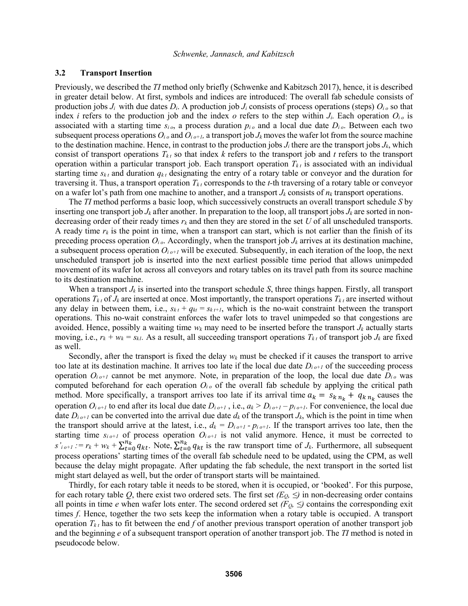#### **3.2 Transport Insertion**

Previously, we described the *TI* method only briefly (Schwenke and Kabitzsch 2017), hence, it is described in greater detail below. At first, symbols and indices are introduced: The overall fab schedule consists of production jobs  $J_i$  with due dates  $D_i$ . A production job  $J_i$  consists of process operations (steps)  $O_i$  *o* so that index *i* refers to the production job and the index *o* refers to the step within  $J_i$ . Each operation  $O_i$  *o* is associated with a starting time  $s_i$ , a process duration  $p_i$ , and a local due date  $D_i$ . Between each two subsequent process operations  $O_i$  *o* and  $O_i$  *o*+*t*, a transport job  $J_k$  moves the wafer lot from the source machine to the destination machine. Hence, in contrast to the production jobs  $J_i$  there are the transport jobs  $J_k$ , which consist of transport operations  $T_{kt}$  so that index  $k$  refers to the transport job and  $t$  refers to the transport operation within a particular transport job. Each transport operation  $T_{kt}$  is associated with an individual starting time  $s_{kt}$  and duration  $q_{kt}$  designating the entry of a rotary table or conveyor and the duration for traversing it. Thus, a transport operation  $T_{kt}$  corresponds to the *t*-th traversing of a rotary table or conveyor on a wafer lot's path from one machine to another, and a transport  $J_k$  consists of  $n_k$  transport operations.

The *TI* method performs a basic loop, which successively constructs an overall transport schedule *S* by inserting one transport job  $J_k$  after another. In preparation to the loop, all transport jobs  $J_k$  are sorted in nondecreasing order of their ready times  $r_k$  and then they are stored in the set U of all unscheduled transports. A ready time  $r_k$  is the point in time, when a transport can start, which is not earlier than the finish of its preceding process operation  $O_i$ <sub>*o*</sub>. Accordingly, when the transport job  $J_k$  arrives at its destination machine, a subsequent process operation  $O_{i_0+1}$  will be executed. Subsequently, in each iteration of the loop, the next unscheduled transport job is inserted into the next earliest possible time period that allows unimpeded movement of its wafer lot across all conveyors and rotary tables on its travel path from its source machine to its destination machine.

When a transport  $J_k$  is inserted into the transport schedule  $S$ , three things happen. Firstly, all transport operations  $T_{k}$  of  $J_k$  are inserted at once. Most importantly, the transport operations  $T_{k}$  are inserted without any delay in between them, i.e.,  $s_{kt} + q_{kt} = s_{k}t + 1$ , which is the no-wait constraint between the transport operations. This no-wait constraint enforces the wafer lots to travel unimpeded so that congestions are avoided. Hence, possibly a waiting time *w<sup>k</sup>* may need to be inserted before the transport *J<sup>k</sup>* actually starts moving, i.e.,  $r_k + w_k = s_{k1}$ . As a result, all succeeding transport operations  $T_{k,t}$  of transport job  $J_k$  are fixed as well.

Secondly, after the transport is fixed the delay  $w_k$  must be checked if it causes the transport to arrive too late at its destination machine. It arrives too late if the local due date  $D_{i_0+1}$  of the succeeding process operation  $O_{i_0+1}$  cannot be met anymore. Note, in preparation of the loop, the local due date  $D_{i_0}$  was computed beforehand for each operation  $O_i$  of the overall fab schedule by applying the critical path method. More specifically, a transport arrives too late if its arrival time  $a_k = s_{k n_k} + q_{k n_k}$  causes the operation  $O_{i}$ <sub>o+1</sub> to end after its local due date  $D_{i}$ <sub>o+1</sub>, i.e.,  $a_k > D_{i}$ <sub>o+1</sub> -  $p_{i}$ <sub>o+1</sub>. For convenience, the local due date  $D_{i}$ <sub>*o+1*</sub> can be converted into the arrival due date  $d_k$  of the transport  $J_k$ , which is the point in time when the transport should arrive at the latest, i.e.,  $d_k = D_{i} \cdot b + I - p_{i} \cdot b + I$ . If the transport arrives too late, then the starting time  $s_{i}$  *o*+1 of process operation  $O_{i}$ <sub>*o+1*</sub> is not valid anymore. Hence, it must be corrected to  $s'_{i} = r_k + w_k + \sum_{t=0}^{n_k} q_{kt}$ . Note,  $\sum_{t=0}^{n_k} q_{kt}$  is the raw transport time of *J<sub>k</sub>*. Furthermore, all subsequent process operations' starting times of the overall fab schedule need to be updated, using the CPM, as well because the delay might propagate. After updating the fab schedule, the next transport in the sorted list might start delayed as well, but the order of transport starts will be maintained.

Thirdly, for each rotary table it needs to be stored, when it is occupied, or 'booked'. For this purpose, for each rotary table Q, there exist two ordered sets. The first set  $(E_0, \leq)$  in non-decreasing order contains all points in time *e* when wafer lots enter. The second ordered set  $(F<sub>O</sub>, \leq)$  contains the corresponding exit times *f*. Hence, together the two sets keep the information when a rotary table is occupied. A transport operation  $T_{k}$  has to fit between the end f of another previous transport operation of another transport job and the beginning *e* of a subsequent transport operation of another transport job. The *TI* method is noted in pseudocode below.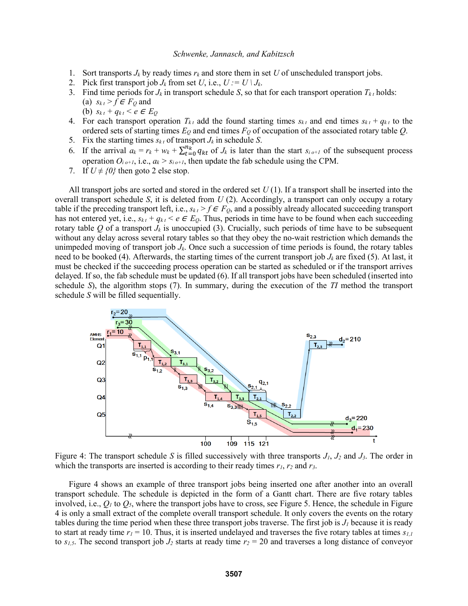- 1. Sort transports  $J_k$  by ready times  $r_k$  and store them in set U of unscheduled transport jobs.
- 2. Pick first transport job  $J_k$  from set  $U$ , i.e.,  $U := U \setminus J_k$ .
- 3. Find time periods for  $J_k$  in transport schedule *S*, so that for each transport operation  $T_{k}$  holds: (a)  $s_{kt} > f \in F_Q$  and
	- (b)  $s_{k,t} + q_{k,t} < e \in E_Q$
- 4. For each transport operation  $T_{kt}$  add the found starting times  $s_{kt}$  and end times  $s_{kt} + q_{kt}$  to the ordered sets of starting times *E<sup>Q</sup>* and end times *F<sup>Q</sup>* of occupation of the associated rotary table *Q*.
- 5. Fix the starting times  $s_{kt}$  of transport  $J_k$  in schedule *S*.
- 6. If the arrival  $a_k = r_k + w_k + \sum_{t=0}^{n_k} q_{kt}$  of  $J_k$  is later than the start  $s_{i+1}$  of the subsequent process operation  $O_{i \cdot o+1}$ , i.e.,  $a_k > s_{i \cdot o+1}$ , then update the fab schedule using the CPM.
- 7. If  $U \neq \{0\}$  then goto 2 else stop.

All transport jobs are sorted and stored in the ordered set *U* (1). If a transport shall be inserted into the overall transport schedule *S*, it is deleted from *U* (2). Accordingly, a transport can only occupy a rotary table if the preceding transport left, i.e.,  $s_{kt} > f \in F_Q$ , and a possibly already allocated succeeding transport has not entered yet, i.e.,  $s_{kt} + q_{kt} < e \in E_0$ . Thus, periods in time have to be found when each succeeding rotary table  $Q$  of a transport  $J_k$  is unoccupied (3). Crucially, such periods of time have to be subsequent without any delay across several rotary tables so that they obey the no-wait restriction which demands the unimpeded moving of transport job  $J_k$ . Once such a succession of time periods is found, the rotary tables need to be booked (4). Afterwards, the starting times of the current transport job  $J_k$  are fixed (5). At last, it must be checked if the succeeding process operation can be started as scheduled or if the transport arrives delayed. If so, the fab schedule must be updated (6). If all transport jobs have been scheduled (inserted into schedule *S*), the algorithm stops (7). In summary, during the execution of the *TI* method the transport schedule *S* will be filled sequentially.



Figure 4: The transport schedule *S* is filled successively with three transports *J1*, *J<sup>2</sup>* and *J3*. The order in which the transports are inserted is according to their ready times *r1*, *r<sup>2</sup>* and *r3*.

Figure 4 shows an example of three transport jobs being inserted one after another into an overall transport schedule. The schedule is depicted in the form of a Gantt chart. There are five rotary tables involved, i.e.,  $Q_I$  to  $Q_5$ , where the transport jobs have to cross, see Figure 5. Hence, the schedule in Figure 4 is only a small extract of the complete overall transport schedule. It only covers the events on the rotary tables during the time period when these three transport jobs traverse. The first job is  $J<sub>I</sub>$  because it is ready to start at ready time  $r_1 = 10$ . Thus, it is inserted undelayed and traverses the five rotary tables at times  $s_{1,1}$ to  $s_{1,5}$ . The second transport job  $J_2$  starts at ready time  $r_2 = 20$  and traverses a long distance of conveyor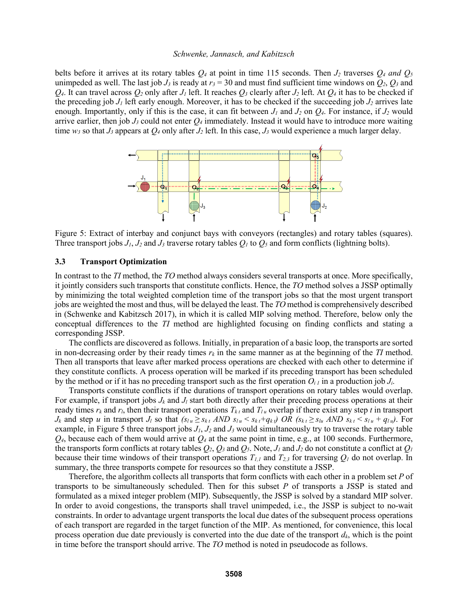belts before it arrives at its rotary tables  $Q_4$  at point in time 115 seconds. Then  $J_2$  traverses  $Q_4$  *and*  $Q_5$ unimpeded as well. The last job  $J_3$  is ready at  $r_3 = 30$  and must find sufficient time windows on  $Q_2$ ,  $Q_3$  and  $Q_4$ . It can travel across  $Q_2$  only after *J<sub>1</sub>* left. It reaches  $Q_3$  clearly after *J<sub>2</sub>* left. At  $Q_4$  it has to be checked if the preceding job  $J_1$  left early enough. Moreover, it has to be checked if the succeeding job  $J_2$  arrives late enough. Importantly, only if this is the case, it can fit between  $J_l$  and  $J_2$  on  $Q_4$ . For instance, if  $J_2$  would arrive earlier, then job  $J_3$  could not enter  $Q_4$  immediately. Instead it would have to introduce more waiting time  $w_3$  so that  $J_3$  appears at  $Q_4$  only after  $J_2$  left. In this case,  $J_3$  would experience a much larger delay.



Figure 5: Extract of interbay and conjunct bays with conveyors (rectangles) and rotary tables (squares). Three transport jobs  $J_1$ ,  $J_2$  and  $J_3$  traverse rotary tables  $Q_1$  to  $Q_5$  and form conflicts (lightning bolts).

## **3.3 Transport Optimization**

In contrast to the *TI* method, the *TO* method always considers several transports at once. More specifically, it jointly considers such transports that constitute conflicts. Hence, the *TO* method solves a JSSP optimally by minimizing the total weighted completion time of the transport jobs so that the most urgent transport jobs are weighted the most and thus, will be delayed the least. The *TO* method is comprehensively described in (Schwenke and Kabitzsch 2017), in which it is called MIP solving method. Therefore, below only the conceptual differences to the *TI* method are highlighted focusing on finding conflicts and stating a corresponding JSSP.

The conflicts are discovered as follows. Initially, in preparation of a basic loop, the transports are sorted in non-decreasing order by their ready times  $r_k$  in the same manner as at the beginning of the *TI* method. Then all transports that leave after marked process operations are checked with each other to determine if they constitute conflicts. A process operation will be marked if its preceding transport has been scheduled by the method or if it has no preceding transport such as the first operation  $O_i$  in a production job  $J_i$ .

Transports constitute conflicts if the durations of transport operations on rotary tables would overlap. For example, if transport jobs  $J_k$  and  $J_l$  start both directly after their preceding process operations at their ready times  $r_k$  and  $r_l$ , then their transport operations  $T_{kt}$  and  $T_{lu}$  overlap if there exist any step *t* in transport  $J_k$  and step u in transport  $J_l$  so that  $(s_{l u} \geq s_{k t}$  AND  $s_{l u} < s_{k t} + q_{k t}$ ) OR  $(s_{k t} \geq s_{l u}$  AND  $s_{k t} < s_{l u} + q_{l u}$ ). For example, in Figure 5 three transport jobs  $J_1$ ,  $J_2$  and  $J_3$  would simultaneously try to traverse the rotary table  $Q_4$ , because each of them would arrive at  $Q_4$  at the same point in time, e.g., at 100 seconds. Furthermore, the transports form conflicts at rotary tables  $Q_2$ ,  $Q_3$  and  $Q_5$ . Note,  $J_1$  and  $J_2$  do not constitute a conflict at  $Q_1$ because their time windows of their transport operations  $T_{1,1}$  and  $T_{2,3}$  for traversing  $Q_1$  do not overlap. In summary, the three transports compete for resources so that they constitute a JSSP.

Therefore, the algorithm collects all transports that form conflicts with each other in a problem set *P* of transports to be simultaneously scheduled. Then for this subset *P* of transports a JSSP is stated and formulated as a mixed integer problem (MIP). Subsequently, the JSSP is solved by a standard MIP solver. In order to avoid congestions, the transports shall travel unimpeded, i.e., the JSSP is subject to no-wait constraints. In order to advantage urgent transports the local due dates of the subsequent process operations of each transport are regarded in the target function of the MIP. As mentioned, for convenience, this local process operation due date previously is converted into the due date of the transport *dk*, which is the point in time before the transport should arrive. The *TO* method is noted in pseudocode as follows.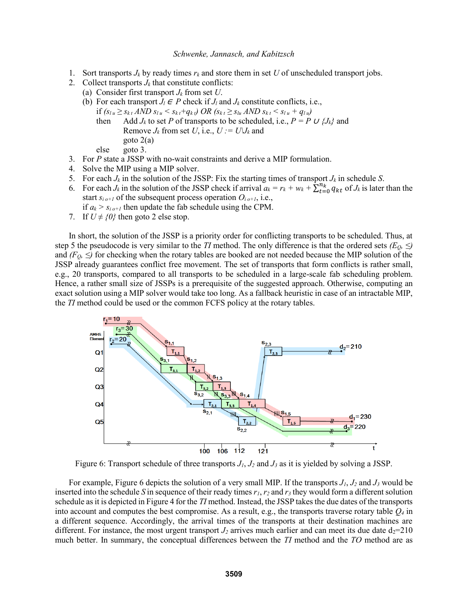- 1. Sort transports  $J_k$  by ready times  $r_k$  and store them in set U of unscheduled transport jobs.
- 2. Collect transports  $J_k$  that constitute conflicts:
	- (a) Consider first transport  $J_k$  from set  $U$ .
	- (b) For each transport  $J_l \in P$  check if  $J_l$  and  $J_k$  constitute conflicts, i.e.,
		- if  $(s_{l u} \geq s_{k t} AND s_{l u} < s_{k t} + q_{k t}) OR (s_{k t} \geq s_{l u} AND s_{k t} < s_{l u} + q_{l u})$ 
			- then Add  $J_k$  to set P of transports to be scheduled, i.e.,  $P = P \cup \{J_k\}$  and Remove  $J_k$  from set  $U$ , i.e.,  $U := U \cup J_k$  and goto 2(a)

else goto 3.

- 3. For *P* state a JSSP with no-wait constraints and derive a MIP formulation.
- 4. Solve the MIP using a MIP solver.
- 5. For each  $J_k$  in the solution of the JSSP: Fix the starting times of transport  $J_k$  in schedule *S*.
- 6. For each  $J_k$  in the solution of the JSSP check if arrival  $a_k = r_k + w_k + \sum_{k=0}^{n_k} q_{kt}$  of  $J_k$  is later than the start  $s_{i}$ <sub>o+1</sub> of the subsequent process operation  $O_{i}$ <sub>o+1</sub>, i.e.,

if  $a_k > s_{i}$  *o*+*I* then update the fab schedule using the CPM.

7. If  $U \neq \{0\}$  then goto 2 else stop.

In short, the solution of the JSSP is a priority order for conflicting transports to be scheduled. Thus, at step 5 the pseudocode is very similar to the *TI* method. The only difference is that the ordered sets  $(E_0, \leq)$ and  $(F_Q, \leq)$  for checking when the rotary tables are booked are not needed because the MIP solution of the JSSP already guarantees conflict free movement. The set of transports that form conflicts is rather small, e.g., 20 transports, compared to all transports to be scheduled in a large-scale fab scheduling problem. Hence, a rather small size of JSSPs is a prerequisite of the suggested approach. Otherwise, computing an exact solution using a MIP solver would take too long. As a fallback heuristic in case of an intractable MIP, the *TI* method could be used or the common FCFS policy at the rotary tables.



Figure 6: Transport schedule of three transports *J1*, *J<sup>2</sup>* and *J<sup>3</sup>* as it is yielded by solving a JSSP.

For example, Figure 6 depicts the solution of a very small MIP. If the transports  $J_1$ ,  $J_2$  and  $J_3$  would be inserted into the schedule *S* in sequence of their ready times  $r_1$ ,  $r_2$  and  $r_3$  they would form a different solution schedule as it is depicted in Figure 4 for the *TI* method. Instead, the JSSP takes the due dates of the transports into account and computes the best compromise. As a result, e.g., the transports traverse rotary table *Q<sup>4</sup>* in a different sequence. Accordingly, the arrival times of the transports at their destination machines are different. For instance, the most urgent transport  $J_2$  arrives much earlier and can meet its due date  $d_2=210$ much better. In summary, the conceptual differences between the *TI* method and the *TO* method are as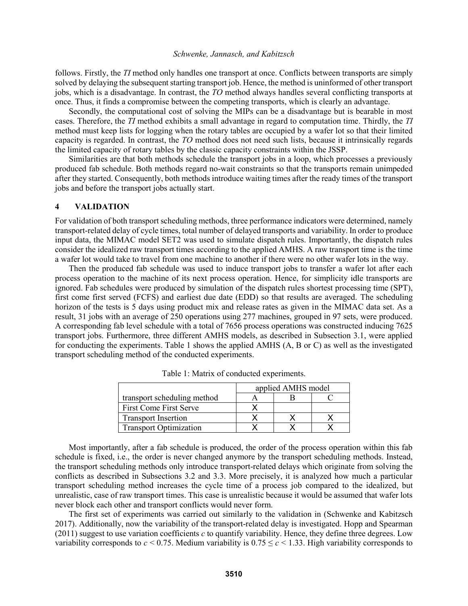follows. Firstly, the *TI* method only handles one transport at once. Conflicts between transports are simply solved by delaying the subsequent starting transport job. Hence, the method is uninformed of other transport jobs, which is a disadvantage. In contrast, the *TO* method always handles several conflicting transports at once. Thus, it finds a compromise between the competing transports, which is clearly an advantage.

Secondly, the computational cost of solving the MIPs can be a disadvantage but is bearable in most cases. Therefore, the *TI* method exhibits a small advantage in regard to computation time. Thirdly, the *TI* method must keep lists for logging when the rotary tables are occupied by a wafer lot so that their limited capacity is regarded. In contrast, the *TO* method does not need such lists, because it intrinsically regards the limited capacity of rotary tables by the classic capacity constraints within the JSSP.

Similarities are that both methods schedule the transport jobs in a loop, which processes a previously produced fab schedule. Both methods regard no-wait constraints so that the transports remain unimpeded after they started. Consequently, both methods introduce waiting times after the ready times of the transport jobs and before the transport jobs actually start.

### **4 VALIDATION**

For validation of both transport scheduling methods, three performance indicators were determined, namely transport-related delay of cycle times, total number of delayed transports and variability. In order to produce input data, the MIMAC model SET2 was used to simulate dispatch rules. Importantly, the dispatch rules consider the idealized raw transport times according to the applied AMHS. A raw transport time is the time a wafer lot would take to travel from one machine to another if there were no other wafer lots in the way.

Then the produced fab schedule was used to induce transport jobs to transfer a wafer lot after each process operation to the machine of its next process operation. Hence, for simplicity idle transports are ignored. Fab schedules were produced by simulation of the dispatch rules shortest processing time (SPT), first come first served (FCFS) and earliest due date (EDD) so that results are averaged. The scheduling horizon of the tests is 5 days using product mix and release rates as given in the MIMAC data set. As a result, 31 jobs with an average of 250 operations using 277 machines, grouped in 97 sets, were produced. A corresponding fab level schedule with a total of 7656 process operations was constructed inducing 7625 transport jobs. Furthermore, three different AMHS models, as described in Subsection 3.1, were applied for conducting the experiments. Table 1 shows the applied AMHS (A, B or C) as well as the investigated transport scheduling method of the conducted experiments.

|                               | applied AMHS model |  |  |
|-------------------------------|--------------------|--|--|
| transport scheduling method   |                    |  |  |
| First Come First Serve        |                    |  |  |
| <b>Transport Insertion</b>    |                    |  |  |
| <b>Transport Optimization</b> |                    |  |  |

Table 1: Matrix of conducted experiments.

Most importantly, after a fab schedule is produced, the order of the process operation within this fab schedule is fixed, i.e., the order is never changed anymore by the transport scheduling methods. Instead, the transport scheduling methods only introduce transport-related delays which originate from solving the conflicts as described in Subsections 3.2 and 3.3. More precisely, it is analyzed how much a particular transport scheduling method increases the cycle time of a process job compared to the idealized, but unrealistic, case of raw transport times. This case is unrealistic because it would be assumed that wafer lots never block each other and transport conflicts would never form.

The first set of experiments was carried out similarly to the validation in (Schwenke and Kabitzsch 2017). Additionally, now the variability of the transport-related delay is investigated. Hopp and Spearman (2011) suggest to use variation coefficients *c* to quantify variability. Hence, they define three degrees. Low variability corresponds to  $c \le 0.75$ . Medium variability is  $0.75 \le c \le 1.33$ . High variability corresponds to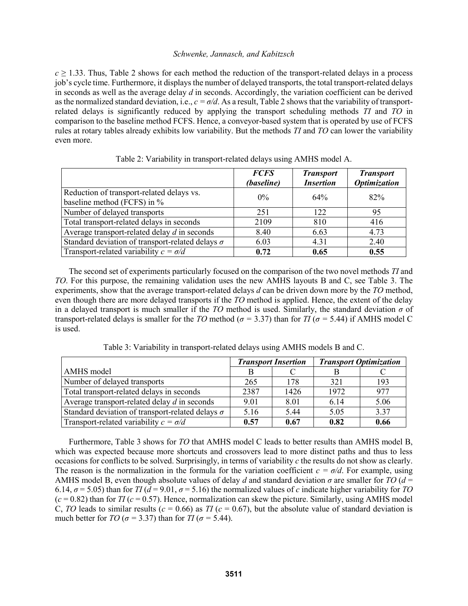$c \ge 1.33$ . Thus, Table 2 shows for each method the reduction of the transport-related delays in a process job's cycle time. Furthermore, it displays the number of delayed transports, the total transport-related delays in seconds as well as the average delay *d* in seconds. Accordingly, the variation coefficient can be derived as the normalized standard deviation, i.e.,  $c = \sigma/d$ . As a result, Table 2 shows that the variability of transportrelated delays is significantly reduced by applying the transport scheduling methods *TI* and *TO* in comparison to the baseline method FCFS. Hence, a conveyor-based system that is operated by use of FCFS rules at rotary tables already exhibits low variability. But the methods *TI* and *TO* can lower the variability even more.

|                                                                          | <b>FCFS</b><br>(baseline) | <b>Transport</b><br><b>Insertion</b> | <b>Transport</b><br><b>Optimization</b> |
|--------------------------------------------------------------------------|---------------------------|--------------------------------------|-----------------------------------------|
| Reduction of transport-related delays vs.<br>baseline method (FCFS) in % | $0\%$                     | 64%                                  | 82%                                     |
| Number of delayed transports                                             | 251                       | 122                                  | 95                                      |
| Total transport-related delays in seconds                                | 2109                      | 810                                  | 416                                     |
| Average transport-related delay $d$ in seconds                           | 8.40                      | 6.63                                 | 4.73                                    |
| Standard deviation of transport-related delays $\sigma$                  | 6.03                      | 4.31                                 | 2.40                                    |
| Transport-related variability $c = \sigma/d$                             | 0.72                      | 0.65                                 | 0.55                                    |

|  |  |  | Table 2: Variability in transport-related delays using AMHS model A. |
|--|--|--|----------------------------------------------------------------------|
|--|--|--|----------------------------------------------------------------------|

The second set of experiments particularly focused on the comparison of the two novel methods *TI* and *TO*. For this purpose, the remaining validation uses the new AMHS layouts B and C, see Table 3. The experiments, show that the average transport-related delays *d* can be driven down more by the *TO* method, even though there are more delayed transports if the *TO* method is applied. Hence, the extent of the delay in a delayed transport is much smaller if the *TO* method is used. Similarly, the standard deviation *σ* of transport-related delays is smaller for the *TO* method ( $\sigma$  = 3.37) than for *TI* ( $\sigma$  = 5.44) if AMHS model C is used.

|                                                         | <b>Transport Insertion</b> |      | <b>Transport Optimization</b> |      |
|---------------------------------------------------------|----------------------------|------|-------------------------------|------|
| AMHS model                                              |                            |      |                               |      |
| Number of delayed transports                            | 265                        | 178  | 321                           | 193  |
| Total transport-related delays in seconds               | 2387                       | 1426 | 1972                          | 977  |
| Average transport-related delay $d$ in seconds          | 9.01                       | 8.01 | 6.14                          | 5.06 |
| Standard deviation of transport-related delays $\sigma$ | 5.16                       | 5.44 | 5.05                          | 3.37 |
| Transport-related variability $c = \sigma/d$            | 0.57                       | 0.67 | 0.82                          | 0.66 |

Table 3: Variability in transport-related delays using AMHS models B and C.

Furthermore, Table 3 shows for *TO* that AMHS model C leads to better results than AMHS model B, which was expected because more shortcuts and crossovers lead to more distinct paths and thus to less occasions for conflicts to be solved. Surprisingly, in terms of variability *c* the results do not show as clearly. The reason is the normalization in the formula for the variation coefficient  $c = \sigma/d$ . For example, using AMHS model B, even though absolute values of delay *d* and standard deviation  $\sigma$  are smaller for *TO* ( $d =$ 6.14,  $\sigma$  = 5.05) than for *TI* ( $d$  = 9.01,  $\sigma$  = 5.16) the normalized values of *c* indicate higher variability for *TO*  $(c = 0.82)$  than for *TI* ( $c = 0.57$ ). Hence, normalization can skew the picture. Similarly, using AMHS model C, *TO* leads to similar results ( $c = 0.66$ ) as *TI* ( $c = 0.67$ ), but the absolute value of standard deviation is much better for *TO* ( $\sigma$  = 3.37) than for *TI* ( $\sigma$  = 5.44).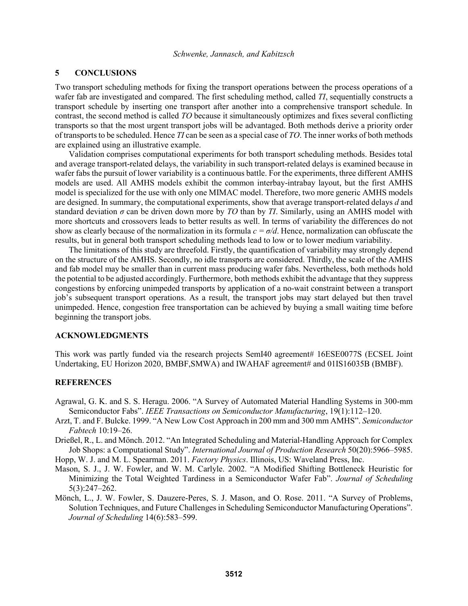## **5 CONCLUSIONS**

Two transport scheduling methods for fixing the transport operations between the process operations of a wafer fab are investigated and compared. The first scheduling method, called *TI*, sequentially constructs a transport schedule by inserting one transport after another into a comprehensive transport schedule. In contrast, the second method is called *TO* because it simultaneously optimizes and fixes several conflicting transports so that the most urgent transport jobs will be advantaged. Both methods derive a priority order of transports to be scheduled. Hence *TI* can be seen as a special case of *TO*. The inner works of both methods are explained using an illustrative example.

Validation comprises computational experiments for both transport scheduling methods. Besides total and average transport-related delays, the variability in such transport-related delays is examined because in wafer fabs the pursuit of lower variability is a continuous battle. For the experiments, three different AMHS models are used. All AMHS models exhibit the common interbay-intrabay layout, but the first AMHS model is specialized for the use with only one MIMAC model. Therefore, two more generic AMHS models are designed. In summary, the computational experiments, show that average transport-related delays *d* and standard deviation *σ* can be driven down more by *TO* than by *TI*. Similarly, using an AMHS model with more shortcuts and crossovers leads to better results as well. In terms of variability the differences do not show as clearly because of the normalization in its formula *c = σ/d*. Hence, normalization can obfuscate the results, but in general both transport scheduling methods lead to low or to lower medium variability.

The limitations of this study are threefold. Firstly, the quantification of variability may strongly depend on the structure of the AMHS. Secondly, no idle transports are considered. Thirdly, the scale of the AMHS and fab model may be smaller than in current mass producing wafer fabs. Nevertheless, both methods hold the potential to be adjusted accordingly. Furthermore, both methods exhibit the advantage that they suppress congestions by enforcing unimpeded transports by application of a no-wait constraint between a transport job's subsequent transport operations. As a result, the transport jobs may start delayed but then travel unimpeded. Hence, congestion free transportation can be achieved by buying a small waiting time before beginning the transport jobs.

#### **ACKNOWLEDGMENTS**

This work was partly funded via the research projects SemI40 agreement# 16ESE0077S (ECSEL Joint Undertaking, EU Horizon 2020, BMBF,SMWA) and IWAHAF agreement# and 01IS16035B (BMBF).

## **REFERENCES**

- Agrawal, G. K. and S. S. Heragu. 2006. "A Survey of Automated Material Handling Systems in 300-mm Semiconductor Fabs". *IEEE Transactions on Semiconductor Manufacturing*, 19(1):112–120.
- Arzt, T. and F. Bulcke. 1999. "A New Low Cost Approach in 200 mm and 300 mm AMHS". *Semiconductor Fabtech* 10:19–26.
- Drießel, R., L. and Mönch. 2012. "An Integrated Scheduling and Material-Handling Approach for Complex Job Shops: a Computational Study". *International Journal of Production Research* 50(20):5966–5985.
- Hopp, W. J. and M. L. Spearman. 2011. *Factory Physics*. Illinois, US: Waveland Press, Inc.
- Mason, S. J., J. W. Fowler, and W. M. Carlyle. 2002. "A Modified Shifting Bottleneck Heuristic for Minimizing the Total Weighted Tardiness in a Semiconductor Wafer Fab". *Journal of Scheduling* 5(3):247–262.
- Mönch, L., J. W. Fowler, S. Dauzere-Peres, S. J. Mason, and O. Rose. 2011. "A Survey of Problems, Solution Techniques, and Future Challenges in Scheduling Semiconductor Manufacturing Operations". *Journal of Scheduling* 14(6):583–599.